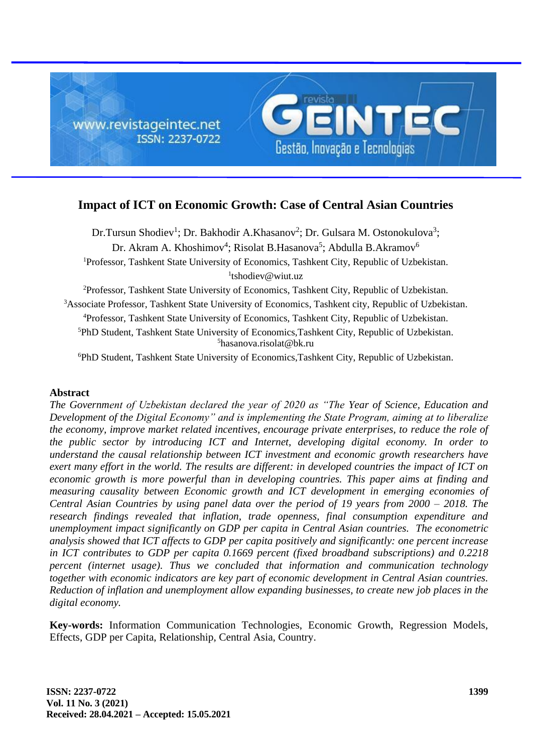

# **Impact of ICT on Economic Growth: Case of Central Asian Countries**

Dr.Tursun Shodiev<sup>1</sup>; Dr. Bakhodir A.Khasanov<sup>2</sup>; Dr. Gulsara M. Ostonokulova<sup>3</sup>; Dr. Akram A. Khoshimov<sup>4</sup>; Risolat B.Hasanova<sup>5</sup>; Abdulla B.Akramov<sup>6</sup> <sup>1</sup>Professor, Tashkent State University of Economics, Tashkent City, Republic of Uzbekistan. 1 tshodiev@wiut.uz

Professor, Tashkent State University of Economics, Tashkent City, Republic of Uzbekistan. <sup>3</sup>Associate Professor, Tashkent State University of Economics, Tashkent city, Republic of Uzbekistan. Professor, Tashkent State University of Economics, Tashkent City, Republic of Uzbekistan. PhD Student, Tashkent State University of Economics,Tashkent City, Republic of Uzbekistan. hasanova.risolat@bk.ru

<sup>6</sup>PhD Student, Tashkent State University of Economics,Tashkent City, Republic of Uzbekistan.

## **Abstract**

*The Government of Uzbekistan declared the year of 2020 as "The Year of Science, Education and Development of the Digital Economy" and is implementing the State Program, aiming at to liberalize the economy, improve market related incentives, encourage private enterprises, to reduce the role of the public sector by introducing ICT and Internet, developing digital economy. In order to understand the causal relationship between ICT investment and economic growth researchers have exert many effort in the world. The results are different: in developed countries the impact of ICT on economic growth is more powerful than in developing countries. This paper aims at finding and measuring causality between Economic growth and ICT development in emerging economies of Central Asian Countries by using panel data over the period of 19 years from 2000 – 2018. The research findings revealed that inflation, trade openness, final consumption expenditure and unemployment impact significantly on GDP per capita in Central Asian countries. The econometric analysis showed that ICT affects to GDP per capita positively and significantly: one percent increase in ICT contributes to GDP per capita 0.1669 percent (fixed broadband subscriptions) and 0.2218 percent (internet usage). Thus we concluded that information and communication technology together with economic indicators are key part of economic development in Central Asian countries. Reduction of inflation and unemployment allow expanding businesses, to create new job places in the digital economy.*

**Key-words:** Information Communication Technologies, Economic Growth, Regression Models, Effects, GDP per Capita, Relationship, Central Asia, Country.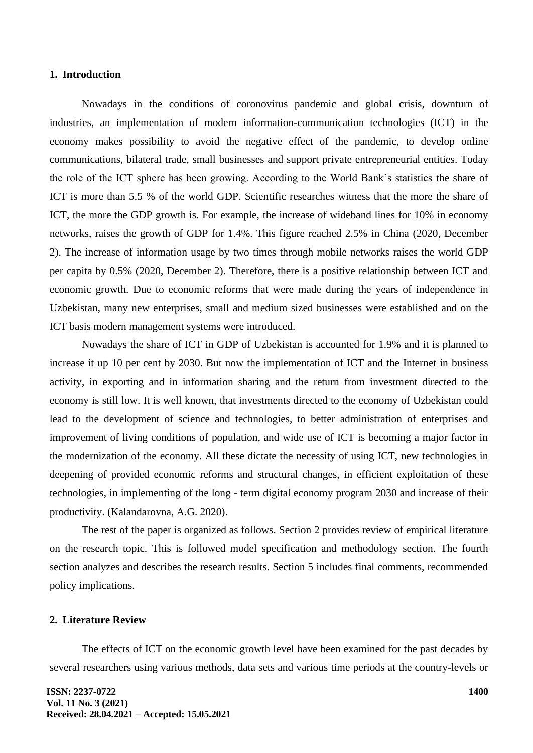#### **1. Introduction**

Nowadays in the conditions of coronovirus pandemic and global crisis, downturn of industries, an implementation of modern information-communication technologies (ICT) in the economy makes possibility to avoid the negative effect of the pandemic, to develop online communications, bilateral trade, small businesses and support private entrepreneurial entities. Today the role of the ICT sphere has been growing. According to the World Bank's statistics the share of ICT is more than 5.5 % of the world GDP. Scientific researches witness that the more the share of ICT, the more the GDP growth is. For example, the increase of wideband lines for 10% in economy networks, raises the growth of GDP for 1.4%. This figure reached 2.5% in China (2020, December 2). The increase of information usage by two times through mobile networks raises the world GDP per capita by 0.5% (2020, December 2). Therefore, there is a positive relationship between ICT and economic growth. Due to economic reforms that were made during the years of independence in Uzbekistan, many new enterprises, small and medium sized businesses were established and on the ICT basis modern management systems were introduced.

Nowadays the share of ICT in GDP of Uzbekistan is accounted for 1.9% and it is planned to increase it up 10 per cent by 2030. But now the implementation of ICT and the Internet in business activity, in exporting and in information sharing and the return from investment directed to the economy is still low. It is well known, that investments directed to the economy of Uzbekistan could lead to the development of science and technologies, to better administration of enterprises and improvement of living conditions of population, and wide use of ICT is becoming a major factor in the modernization of the economy. All these dictate the necessity of using ICT, new technologies in deepening of provided economic reforms and structural changes, in efficient exploitation of these technologies, in implementing of the long - term digital economy program 2030 and increase of their productivity. (Kalandarovna, A.G. 2020).

The rest of the paper is organized as follows. Section 2 provides review of empirical literature on the research topic. This is followed model specification and methodology section. The fourth section analyzes and describes the research results. Section 5 includes final comments, recommended policy implications.

#### **2. Literature Review**

The effects of ICT on the economic growth level have been examined for the past decades by several researchers using various methods, data sets and various time periods at the country-levels or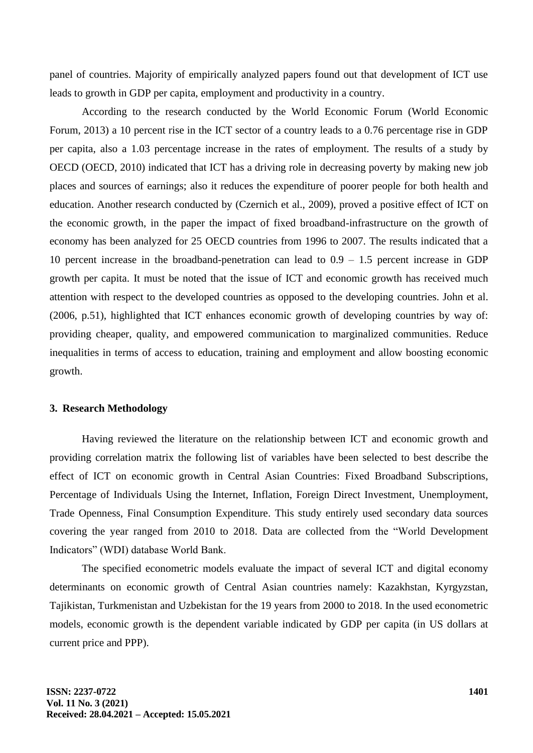panel of countries. Majority of empirically analyzed papers found out that development of ICT use leads to growth in GDP per capita, employment and productivity in a country.

According to the research conducted by the World Economic Forum (World Economic Forum, 2013) a 10 percent rise in the ICT sector of a country leads to a 0.76 percentage rise in GDP per capita, also a 1.03 percentage increase in the rates of employment. The results of a study by OECD (OECD, 2010) indicated that ICT has a driving role in decreasing poverty by making new job places and sources of earnings; also it reduces the expenditure of poorer people for both health and education. Another research conducted by (Czernich et al., 2009), proved a positive effect of ICT on the economic growth, in the paper the impact of fixed broadband-infrastructure on the growth of economy has been analyzed for 25 OECD countries from 1996 to 2007. The results indicated that a 10 percent increase in the broadband-penetration can lead to 0.9 – 1.5 percent increase in GDP growth per capita. It must be noted that the issue of ICT and economic growth has received much attention with respect to the developed countries as opposed to the developing countries. John et al. (2006, p.51), highlighted that ICT enhances economic growth of developing countries by way of: providing cheaper, quality, and empowered communication to marginalized communities. Reduce inequalities in terms of access to education, training and employment and allow boosting economic growth.

#### **3. Research Methodology**

Having reviewed the literature on the relationship between ICT and economic growth and providing correlation matrix the following list of variables have been selected to best describe the effect of ICT on economic growth in Central Asian Countries: Fixed Broadband Subscriptions, Percentage of Individuals Using the Internet, Inflation, Foreign Direct Investment, Unemployment, Trade Openness, Final Consumption Expenditure. This study entirely used secondary data sources covering the year ranged from 2010 to 2018. Data are collected from the "World Development Indicators" (WDI) database World Bank.

The specified econometric models evaluate the impact of several ICT and digital economy determinants on economic growth of Central Asian countries namely: Kazakhstan, Kyrgyzstan, Tajikistan, Turkmenistan and Uzbekistan for the 19 years from 2000 to 2018. In the used econometric models, economic growth is the dependent variable indicated by GDP per capita (in US dollars at current price and PPP).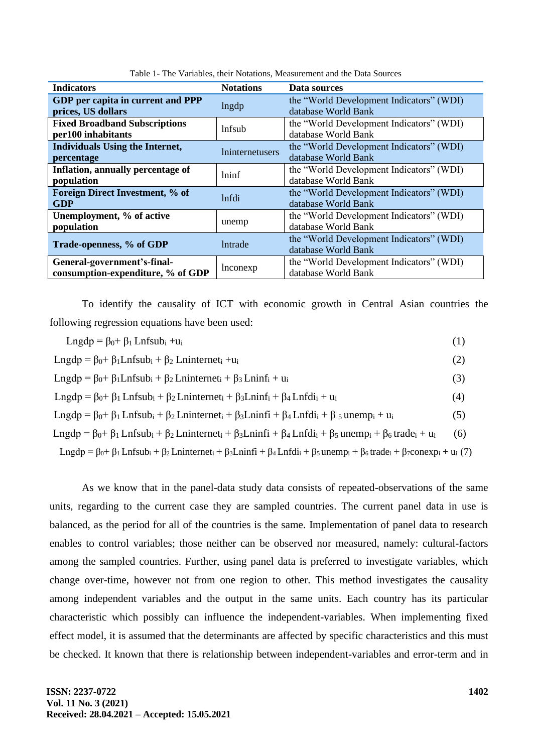| <b>Indicators</b>                                                | <b>Notations</b>              | Data sources                                                    |  |  |
|------------------------------------------------------------------|-------------------------------|-----------------------------------------------------------------|--|--|
| GDP per capita in current and PPP<br>prices, US dollars          | lngdp                         | the "World Development Indicators" (WDI)<br>database World Bank |  |  |
| <b>Fixed Broadband Subscriptions</b><br>per100 inhabitants       | lnfsub                        | the "World Development Indicators" (WDI)<br>database World Bank |  |  |
| <b>Individuals Using the Internet,</b><br>percentage             | <i><u>Ininternetusers</u></i> | the "World Development Indicators" (WDI)<br>database World Bank |  |  |
| Inflation, annually percentage of<br>population                  | lninf                         | the "World Development Indicators" (WDI)<br>database World Bank |  |  |
| Foreign Direct Investment, % of<br><b>GDP</b>                    | <i>lnfdi</i>                  | the "World Development Indicators" (WDI)<br>database World Bank |  |  |
| Unemployment, % of active<br>population                          | unemp                         | the "World Development Indicators" (WDI)<br>database World Bank |  |  |
| Trade-openness, % of GDP                                         | <i>lntrade</i>                | the "World Development Indicators" (WDI)<br>database World Bank |  |  |
| General-government's-final-<br>consumption-expenditure, % of GDP | lnconexp                      | the "World Development Indicators" (WDI)<br>database World Bank |  |  |

Table 1- The Variables, their Notations, Measurement and the Data Sources

To identify the causality of ICT with economic growth in Central Asian countries the following regression equations have been used:

| $\text{Lngdp} = \beta_0 + \beta_1 \text{Lnfsub}_i + u_i$                                                                                                                                                                                                   | (1) |
|------------------------------------------------------------------------------------------------------------------------------------------------------------------------------------------------------------------------------------------------------------|-----|
| $\text{Lngdp} = \beta_0 + \beta_1 \text{Lnfsub}_i + \beta_2 \text{Lninternet}_i + u_i$                                                                                                                                                                     | (2) |
| Lngdp = $\beta_0$ + $\beta_1$ Lnfsub <sub>i</sub> + $\beta_2$ Lninternet <sub>i</sub> + $\beta_3$ Lninf <sub>i</sub> + $u_i$                                                                                                                               | (3) |
| Lngdp = $\beta_0$ + $\beta_1$ Lnfsub <sub>i</sub> + $\beta_2$ Lninternet <sub>i</sub> + $\beta_3$ Lninf <sub>i</sub> + $\beta_4$ Lnfdi <sub>i</sub> + $u_i$                                                                                                | (4) |
| Lngdp = $\beta_0$ + $\beta_1$ Lnfsub <sub>i</sub> + $\beta_2$ Lninternet <sub>i</sub> + $\beta_3$ Lninfi + $\beta_4$ Lnfdi <sub>i</sub> + $\beta_5$ unemp <sub>i</sub> + u <sub>i</sub>                                                                    | (5) |
| Lngdp = $\beta_0$ + $\beta_1$ Lnfsub <sub>i</sub> + $\beta_2$ Lninternet <sub>i</sub> + $\beta_3$ Lninfi + $\beta_4$ Lnfdi <sub>i</sub> + $\beta_5$ unemp <sub>i</sub> + $\beta_6$ trade <sub>i</sub> + u <sub>i</sub>                                     | (6) |
| Lngdp = $\beta_0$ + $\beta_1$ Lnfsub <sub>i</sub> + $\beta_2$ Lninternet <sub>i</sub> + $\beta_3$ Lninfi + $\beta_4$ Lnfdi <sub>i</sub> + $\beta_5$ unemp <sub>i</sub> + $\beta_6$ trade <sub>i</sub> + $\beta_7$ conexp <sub>i</sub> + u <sub>i</sub> (7) |     |

As we know that in the panel-data study data consists of repeated-observations of the same units, regarding to the current case they are sampled countries. The current panel data in use is balanced, as the period for all of the countries is the same. Implementation of panel data to research enables to control variables; those neither can be observed nor measured, namely: cultural-factors among the sampled countries. Further, using panel data is preferred to investigate variables, which change over-time, however not from one region to other. This method investigates the causality among independent variables and the output in the same units. Each country has its particular characteristic which possibly can influence the independent-variables. When implementing fixed effect model, it is assumed that the determinants are affected by specific characteristics and this must be checked. It known that there is relationship between independent-variables and error-term and in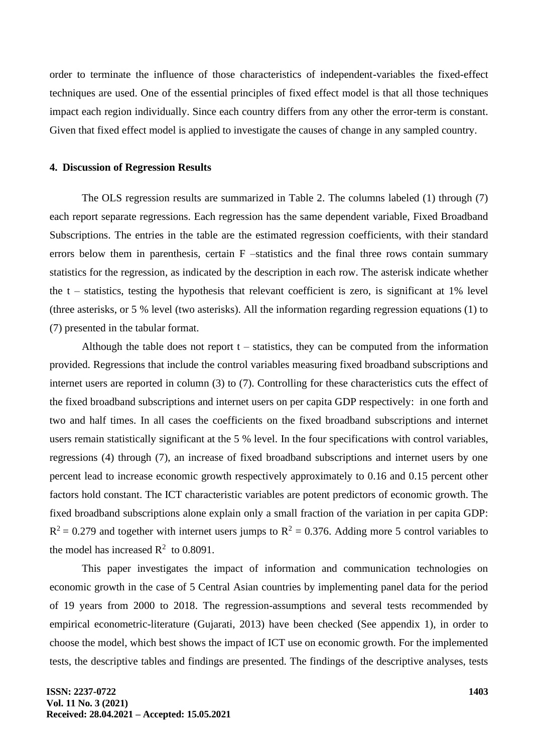order to terminate the influence of those characteristics of independent-variables the fixed-effect techniques are used. One of the essential principles of fixed effect model is that all those techniques impact each region individually. Since each country differs from any other the error-term is constant. Given that fixed effect model is applied to investigate the causes of change in any sampled country.

#### **4. Discussion of Regression Results**

The OLS regression results are summarized in Table 2. The columns labeled (1) through (7) each report separate regressions. Each regression has the same dependent variable, Fixed Broadband Subscriptions. The entries in the table are the estimated regression coefficients, with their standard errors below them in parenthesis, certain F –statistics and the final three rows contain summary statistics for the regression, as indicated by the description in each row. The asterisk indicate whether the  $t$  – statistics, testing the hypothesis that relevant coefficient is zero, is significant at 1% level (three asterisks, or 5 % level (two asterisks). All the information regarding regression equations (1) to (7) presented in the tabular format.

Although the table does not report  $t -$  statistics, they can be computed from the information provided. Regressions that include the control variables measuring fixed broadband subscriptions and internet users are reported in column (3) to (7). Controlling for these characteristics cuts the effect of the fixed broadband subscriptions and internet users on per capita GDP respectively: in one forth and two and half times. In all cases the coefficients on the fixed broadband subscriptions and internet users remain statistically significant at the 5 % level. In the four specifications with control variables, regressions (4) through (7), an increase of fixed broadband subscriptions and internet users by one percent lead to increase economic growth respectively approximately to 0.16 and 0.15 percent other factors hold constant. The ICT characteristic variables are potent predictors of economic growth. The fixed broadband subscriptions alone explain only a small fraction of the variation in per capita GDP:  $R^2 = 0.279$  and together with internet users jumps to  $R^2 = 0.376$ . Adding more 5 control variables to the model has increased  $R^2$  to 0.8091.

This paper investigates the impact of information and communication technologies on economic growth in the case of 5 Central Asian countries by implementing panel data for the period of 19 years from 2000 to 2018. The regression-assumptions and several tests recommended by empirical econometric-literature (Gujarati, 2013) have been checked (See appendix 1), in order to choose the model, which best shows the impact of ICT use on economic growth. For the implemented tests, the descriptive tables and findings are presented. The findings of the descriptive analyses, tests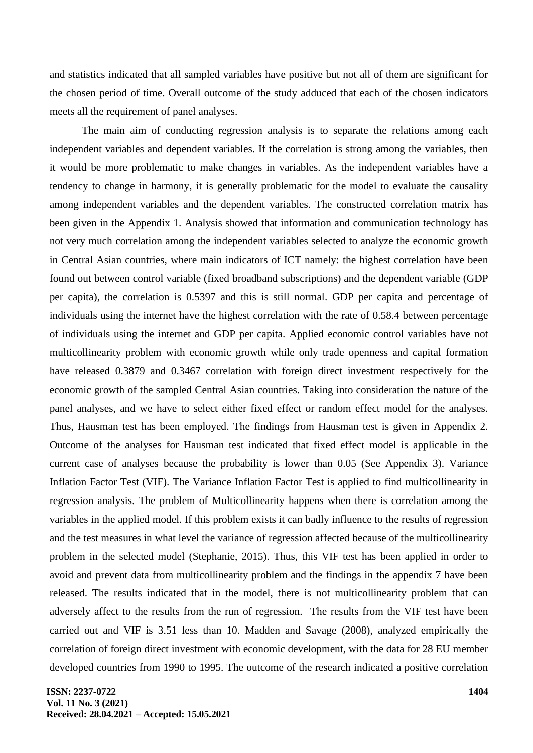and statistics indicated that all sampled variables have positive but not all of them are significant for the chosen period of time. Overall outcome of the study adduced that each of the chosen indicators meets all the requirement of panel analyses.

The main aim of conducting regression analysis is to separate the relations among each independent variables and dependent variables. If the correlation is strong among the variables, then it would be more problematic to make changes in variables. As the independent variables have a tendency to change in harmony, it is generally problematic for the model to evaluate the causality among independent variables and the dependent variables. The constructed correlation matrix has been given in the Appendix 1. Analysis showed that information and communication technology has not very much correlation among the independent variables selected to analyze the economic growth in Central Asian countries, where main indicators of ICT namely: the highest correlation have been found out between control variable (fixed broadband subscriptions) and the dependent variable (GDP per capita), the correlation is 0.5397 and this is still normal. GDP per capita and percentage of individuals using the internet have the highest correlation with the rate of 0.58.4 between percentage of individuals using the internet and GDP per capita. Applied economic control variables have not multicollinearity problem with economic growth while only trade openness and capital formation have released 0.3879 and 0.3467 correlation with foreign direct investment respectively for the economic growth of the sampled Central Asian countries. Taking into consideration the nature of the panel analyses, and we have to select either fixed effect or random effect model for the analyses. Thus, Hausman test has been employed. The findings from Hausman test is given in Appendix 2. Outcome of the analyses for Hausman test indicated that fixed effect model is applicable in the current case of analyses because the probability is lower than 0.05 (See Appendix 3). Variance Inflation Factor Test (VIF). The Variance Inflation Factor Test is applied to find multicollinearity in regression analysis. The problem of Multicollinearity happens when there is correlation among the variables in the applied model. If this problem exists it can badly influence to the results of regression and the test measures in what level the variance of regression affected because of the multicollinearity problem in the selected model (Stephanie, 2015). Thus, this VIF test has been applied in order to avoid and prevent data from multicollinearity problem and the findings in the appendix 7 have been released. The results indicated that in the model, there is not multicollinearity problem that can adversely affect to the results from the run of regression. The results from the VIF test have been carried out and VIF is 3.51 less than 10. Madden and Savage (2008), analyzed empirically the correlation of foreign direct investment with economic development, with the data for 28 EU member developed countries from 1990 to 1995. The outcome of the research indicated a positive correlation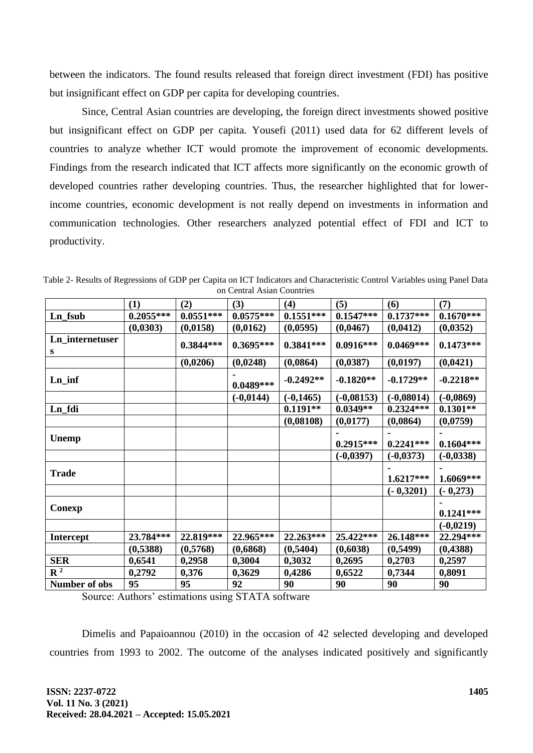between the indicators. The found results released that foreign direct investment (FDI) has positive but insignificant effect on GDP per capita for developing countries.

Since, Central Asian countries are developing, the foreign direct investments showed positive but insignificant effect on GDP per capita. Yousefi (2011) used data for 62 different levels of countries to analyze whether ICT would promote the improvement of economic developments. Findings from the research indicated that ICT affects more significantly on the economic growth of developed countries rather developing countries. Thus, the researcher highlighted that for lowerincome countries, economic development is not really depend on investments in information and communication technologies. Other researchers analyzed potential effect of FDI and ICT to productivity.

|                           | (1)         | (2)         | (3)         | (4)          | (5)          | (6)          | (7)          |
|---------------------------|-------------|-------------|-------------|--------------|--------------|--------------|--------------|
| Ln_fsub                   | $0.2055***$ | $0.0551***$ | $0.0575***$ | $0.1551***$  | $0.1547***$  | $0.1737***$  | $0.1670***$  |
|                           | (0,0303)    | (0,0158)    | (0,0162)    | (0,0595)     | (0,0467)     | (0,0412)     | (0, 0352)    |
| Ln_internetuser<br>S      |             | $0.3844***$ | $0.3695***$ | $0.3841***$  | $0.0916***$  | $0.0469***$  | $0.1473***$  |
|                           |             | (0,0206)    | (0,0248)    | (0,0864)     | (0,0387)     | (0,0197)     | (0,0421)     |
| $Ln_$ inf                 |             |             | $0.0489***$ | $-0.2492**$  | $-0.1820**$  | $-0.1729**$  | $-0.2218**$  |
|                           |             |             | $(-0,0144)$ | $(-0, 1465)$ | $(-0,08153)$ | $(-0,08014)$ | $(-0,0869)$  |
| Ln_fdi                    |             |             |             | $0.1191**$   | $0.0349**$   | $0.2324***$  | $0.1301**$   |
|                           |             |             |             | (0,08108)    | (0,0177)     | (0,0864)     | (0,0759)     |
|                           |             |             |             |              |              |              |              |
| <b>Unemp</b>              |             |             |             |              | $0.2915***$  | $0.2241***$  | $0.1604***$  |
|                           |             |             |             |              | $(-0,0397)$  | $(-0,0373)$  | $(-0, 0338)$ |
| <b>Trade</b>              |             |             |             |              |              | $1.6217***$  | 1.6069***    |
|                           |             |             |             |              |              | $(-0,3201)$  | $(-0,273)$   |
|                           |             |             |             |              |              |              |              |
| Conexp                    |             |             |             |              |              |              | $0.1241***$  |
|                           |             |             |             |              |              |              | $(-0,0219)$  |
| <b>Intercept</b>          | 23.784***   | 22.819***   | 22.965***   | 22.263***    | 25.422***    | 26.148***    | 22.294***    |
|                           | (0,5388)    | (0,5768)    | (0,6868)    | (0,5404)     | (0,6038)     | (0,5499)     | (0,4388)     |
| <b>SER</b>                | 0,6541      | 0,2958      | 0,3004      | 0,3032       | 0,2695       | 0,2703       | 0,2597       |
| $\overline{\mathbf{R}^2}$ | 0,2792      | 0,376       | 0,3629      | 0,4286       | 0,6522       | 0,7344       | 0,8091       |
| Number of obs             | 95          | 95          | 92          | 90           | 90           | 90           | 90           |

Table 2- Results of Regressions of GDP per Capita on ICT Indicators and Characteristic Control Variables using Panel Data on Central Asian Countries

Source: Authors' estimations using STATA software

Dimelis and Papaioannou (2010) in the occasion of 42 selected developing and developed countries from 1993 to 2002. The outcome of the analyses indicated positively and significantly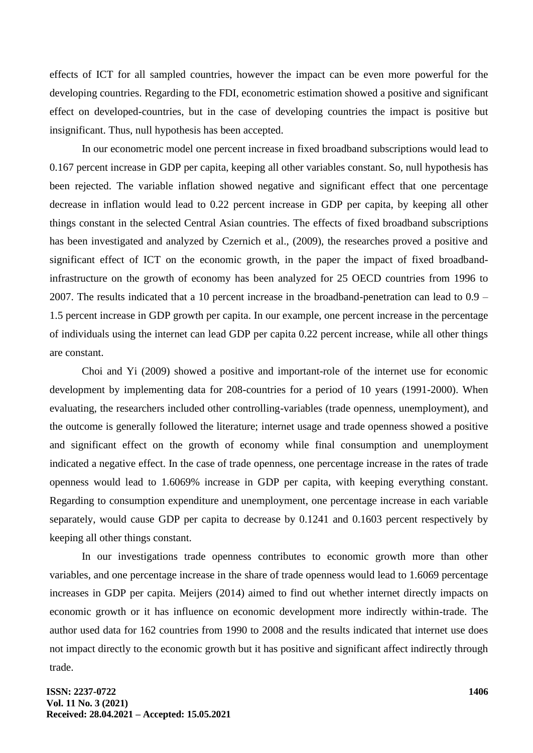effects of ICT for all sampled countries, however the impact can be even more powerful for the developing countries. Regarding to the FDI, econometric estimation showed a positive and significant effect on developed-countries, but in the case of developing countries the impact is positive but insignificant. Thus, null hypothesis has been accepted.

In our econometric model one percent increase in fixed broadband subscriptions would lead to 0.167 percent increase in GDP per capita, keeping all other variables constant. So, null hypothesis has been rejected. The variable inflation showed negative and significant effect that one percentage decrease in inflation would lead to 0.22 percent increase in GDP per capita, by keeping all other things constant in the selected Central Asian countries. The effects of fixed broadband subscriptions has been investigated and analyzed by Czernich et al., (2009), the researches proved a positive and significant effect of ICT on the economic growth, in the paper the impact of fixed broadbandinfrastructure on the growth of economy has been analyzed for 25 OECD countries from 1996 to 2007. The results indicated that a 10 percent increase in the broadband-penetration can lead to 0.9 – 1.5 percent increase in GDP growth per capita. In our example, one percent increase in the percentage of individuals using the internet can lead GDP per capita 0.22 percent increase, while all other things are constant.

Choi and Yi (2009) showed a positive and important-role of the internet use for economic development by implementing data for 208-countries for a period of 10 years (1991-2000). When evaluating, the researchers included other controlling-variables (trade openness, unemployment), and the outcome is generally followed the literature; internet usage and trade openness showed a positive and significant effect on the growth of economy while final consumption and unemployment indicated a negative effect. In the case of trade openness, one percentage increase in the rates of trade openness would lead to 1.6069% increase in GDP per capita, with keeping everything constant. Regarding to consumption expenditure and unemployment, one percentage increase in each variable separately, would cause GDP per capita to decrease by 0.1241 and 0.1603 percent respectively by keeping all other things constant.

In our investigations trade openness contributes to economic growth more than other variables, and one percentage increase in the share of trade openness would lead to 1.6069 percentage increases in GDP per capita. Meijers (2014) aimed to find out whether internet directly impacts on economic growth or it has influence on economic development more indirectly within-trade. The author used data for 162 countries from 1990 to 2008 and the results indicated that internet use does not impact directly to the economic growth but it has positive and significant affect indirectly through trade.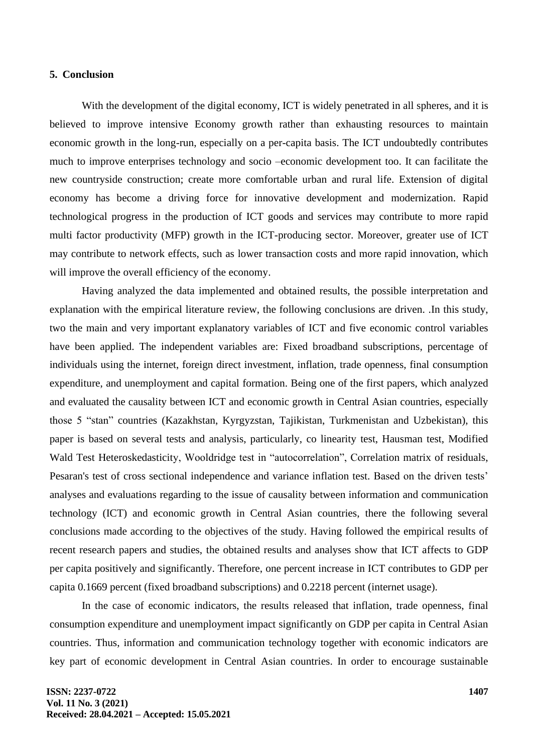#### **5. Conclusion**

With the development of the digital economy, ICT is widely penetrated in all spheres, and it is believed to improve intensive Economy growth rather than exhausting resources to maintain economic growth in the long-run, especially on a per-capita basis. The ICT undoubtedly contributes much to improve enterprises technology and socio –economic development too. It can facilitate the new countryside construction; create more comfortable urban and rural life. Extension of digital economy has become a driving force for innovative development and modernization. Rapid technological progress in the production of ICT goods and services may contribute to more rapid multi factor productivity (MFP) growth in the ICT-producing sector. Moreover, greater use of ICT may contribute to network effects, such as lower transaction costs and more rapid innovation, which will improve the overall efficiency of the economy.

Having analyzed the data implemented and obtained results, the possible interpretation and explanation with the empirical literature review, the following conclusions are driven. .In this study, two the main and very important explanatory variables of ICT and five economic control variables have been applied. The independent variables are: Fixed broadband subscriptions, percentage of individuals using the internet, foreign direct investment, inflation, trade openness, final consumption expenditure, and unemployment and capital formation. Being one of the first papers, which analyzed and evaluated the causality between ICT and economic growth in Central Asian countries, especially those 5 "stan" countries (Kazakhstan, Kyrgyzstan, Tajikistan, Turkmenistan and Uzbekistan), this paper is based on several tests and analysis, particularly, co linearity test, Hausman test, Modified Wald Test Heteroskedasticity, Wooldridge test in "autocorrelation", Correlation matrix of residuals, Pesaran's test of cross sectional independence and variance inflation test. Based on the driven tests' analyses and evaluations regarding to the issue of causality between information and communication technology (ICT) and economic growth in Central Asian countries, there the following several conclusions made according to the objectives of the study. Having followed the empirical results of recent research papers and studies, the obtained results and analyses show that ICT affects to GDP per capita positively and significantly. Therefore, one percent increase in ICT contributes to GDP per capita 0.1669 percent (fixed broadband subscriptions) and 0.2218 percent (internet usage).

In the case of economic indicators, the results released that inflation, trade openness, final consumption expenditure and unemployment impact significantly on GDP per capita in Central Asian countries. Thus, information and communication technology together with economic indicators are key part of economic development in Central Asian countries. In order to encourage sustainable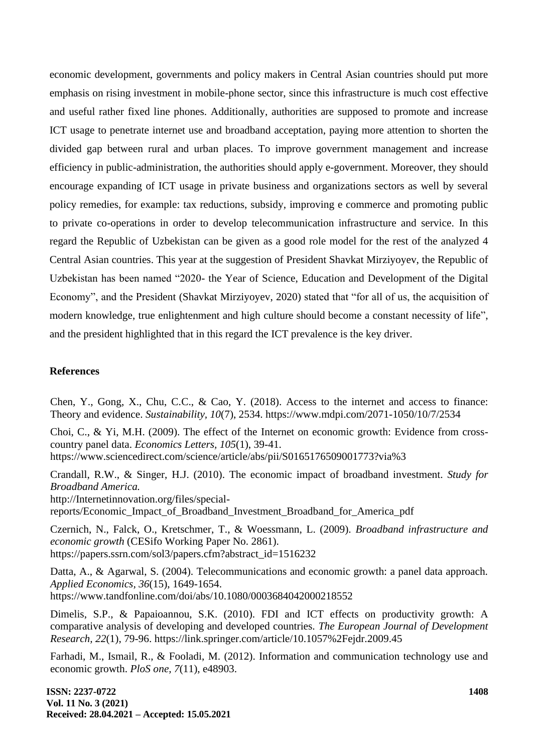economic development, governments and policy makers in Central Asian countries should put more emphasis on rising investment in mobile-phone sector, since this infrastructure is much cost effective and useful rather fixed line phones. Additionally, authorities are supposed to promote and increase ICT usage to penetrate internet use and broadband acceptation, paying more attention to shorten the divided gap between rural and urban places. To improve government management and increase efficiency in public-administration, the authorities should apply e-government. Moreover, they should encourage expanding of ICT usage in private business and organizations sectors as well by several policy remedies, for example: tax reductions, subsidy, improving e commerce and promoting public to private co-operations in order to develop telecommunication infrastructure and service. In this regard the Republic of Uzbekistan can be given as a good role model for the rest of the analyzed 4 Central Asian countries. This year at the suggestion of President Shavkat Mirziyoyev, the Republic of Uzbekistan has been named "2020- the Year of Science, Education and Development of the Digital Economy", and the President (Shavkat Mirziyoyev, 2020) stated that "for all of us, the acquisition of modern knowledge, true enlightenment and high culture should become a constant necessity of life", and the president highlighted that in this regard the ICT prevalence is the key driver.

### **References**

Chen, Y., Gong, X., Chu, C.C., & Cao, Y. (2018). Access to the internet and access to finance: Theory and evidence. *Sustainability, 10*(7), 2534. https://www.mdpi.com/2071-1050/10/7/2534

Choi, C., & Yi, M.H. (2009). The effect of the Internet on economic growth: Evidence from crosscountry panel data. *Economics Letters, 105*(1), 39-41. https://www.sciencedirect.com/science/article/abs/pii/S0165176509001773?via%3

Crandall, R.W., & Singer, H.J. (2010). The economic impact of broadband investment. *Study for Broadband America.* http://Internetinnovation.org/files/special-

reports/Economic\_Impact\_of\_Broadband\_Investment\_Broadband\_for\_America\_pdf

Czernich, N., Falck, O., Kretschmer, T., & Woessmann, L. (2009). *Broadband infrastructure and economic growth* (CESifo Working Paper No. 2861). https://papers.ssrn.com/sol3/papers.cfm?abstract\_id=1516232

Datta, A., & Agarwal, S. (2004). Telecommunications and economic growth: a panel data approach. *Applied Economics, 36*(15), 1649-1654. https://www.tandfonline.com/doi/abs/10.1080/0003684042000218552

Dimelis, S.P., & Papaioannou, S.K. (2010). FDI and ICT effects on productivity growth: A comparative analysis of developing and developed countries. *The European Journal of Development Research, 22*(1), 79-96. https://link.springer.com/article/10.1057%2Fejdr.2009.45

Farhadi, M., Ismail, R., & Fooladi, M. (2012). Information and communication technology use and economic growth. *PloS one, 7*(11), e48903.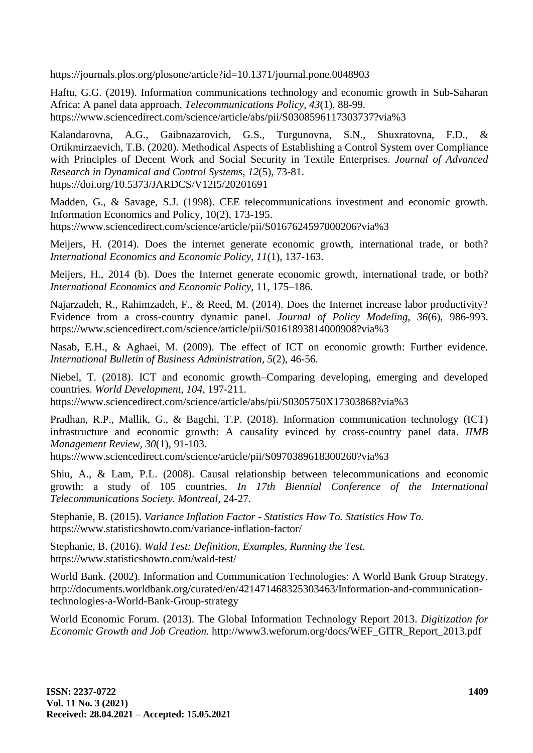https://journals.plos.org/plosone/article?id=10.1371/journal.pone.0048903

Haftu, G.G. (2019). Information communications technology and economic growth in Sub-Saharan Africa: A panel data approach. *Telecommunications Policy, 43*(1), 88-99. https://www.sciencedirect.com/science/article/abs/pii/S0308596117303737?via%3

Kalandarovna, A.G., Gaibnazarovich, G.S., Turgunovna, S.N., Shuxratovna, F.D., & Ortikmirzaevich, T.B. (2020). Methodical Aspects of Establishing a Control System over Compliance with Principles of Decent Work and Social Security in Textile Enterprises. *Journal of Advanced Research in Dynamical and Control Systems, 12*(5), 73-81. https://doi.org/10.5373/JARDCS/V12I5/20201691

Madden, G., & Savage, S.J. (1998). CEE telecommunications investment and economic growth. Information Economics and Policy, 10(2), 173-195.

https://www.sciencedirect.com/science/article/pii/S0167624597000206?via%3

Meijers, H. (2014). Does the internet generate economic growth, international trade, or both? *International Economics and Economic Policy, 11*(1), 137-163.

Meijers, H., 2014 (b). Does the Internet generate economic growth, international trade, or both? *International Economics and Economic Policy,* 11, 175–186.

Najarzadeh, R., Rahimzadeh, F., & Reed, M. (2014). Does the Internet increase labor productivity? Evidence from a cross-country dynamic panel. *Journal of Policy Modeling, 36*(6), 986-993. https://www.sciencedirect.com/science/article/pii/S0161893814000908?via%3

Nasab, E.H., & Aghaei, M. (2009). The effect of ICT on economic growth: Further evidence. *International Bulletin of Business Administration, 5*(2), 46-56.

Niebel, T. (2018). ICT and economic growth–Comparing developing, emerging and developed countries. *World Development, 104,* 197-211.

https://www.sciencedirect.com/science/article/abs/pii/S0305750X17303868?via%3

Pradhan, R.P., Mallik, G., & Bagchi, T.P. (2018). Information communication technology (ICT) infrastructure and economic growth: A causality evinced by cross-country panel data. *IIMB Management Review, 30*(1), 91-103.

https://www.sciencedirect.com/science/article/pii/S0970389618300260?via%3

Shiu, A., & Lam, P.L. (2008). Causal relationship between telecommunications and economic growth: a study of 105 countries. *In 17th Biennial Conference of the International Telecommunications Society. Montreal,* 24-27.

Stephanie, B. (2015). *Variance Inflation Factor - Statistics How To. Statistics How To.* https://www.statisticshowto.com/variance-inflation-factor/

Stephanie, B. (2016). *Wald Test: Definition, Examples, Running the Test.* https://www.statisticshowto.com/wald-test/

World Bank. (2002). Information and Communication Technologies: A World Bank Group Strategy. http://documents.worldbank.org/curated/en/421471468325303463/Information-and-communicationtechnologies-a-World-Bank-Group-strategy

World Economic Forum. (2013). The Global Information Technology Report 2013. *Digitization for Economic Growth and Job Creation.* http://www3.weforum.org/docs/WEF\_GITR\_Report\_2013.pdf